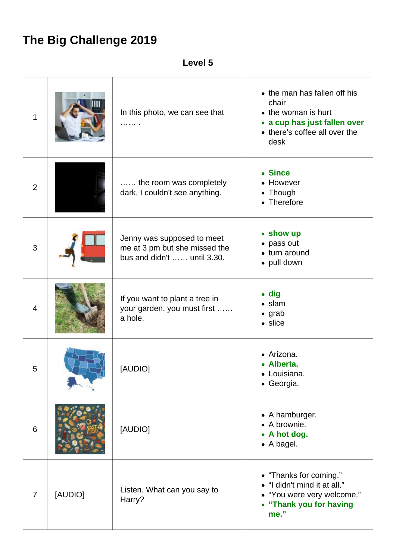## **The Big Challenge 2019**

**Level 5**

| $\mathbf 1$    |         | In this photo, we can see that<br>.                                                               | • the man has fallen off his<br>chair<br>• the woman is hurt<br>• a cup has just fallen over<br>• there's coffee all over the<br>desk |
|----------------|---------|---------------------------------------------------------------------------------------------------|---------------------------------------------------------------------------------------------------------------------------------------|
| 2              |         | the room was completely<br>dark, I couldn't see anything.                                         | • Since<br>• However<br>• Though<br>• Therefore                                                                                       |
| 3              |         | Jenny was supposed to meet<br>me at 3 pm but she missed the<br>bus and didn't $\dots$ until 3.30. | • show up<br>• pass out<br>• turn around<br>• pull down                                                                               |
| $\overline{4}$ |         | If you want to plant a tree in<br>your garden, you must first<br>a hole.                          | $\bullet$ dig<br>$\bullet$ slam<br>$\bullet$ grab<br>• slice                                                                          |
| 5              |         | [AUDIO]                                                                                           | • Arizona.<br>• Alberta.<br>• Louisiana.<br>• Georgia.                                                                                |
| 6              |         | [AUDIO]                                                                                           | • A hamburger.<br>• A brownie.<br>• A hot dog.<br>• A bagel.                                                                          |
| $\overline{7}$ | [AUDIO] | Listen. What can you say to<br>Harry?                                                             | • "Thanks for coming."<br>• "I didn't mind it at all."<br>• "You were very welcome."<br>• "Thank you for having<br>me."               |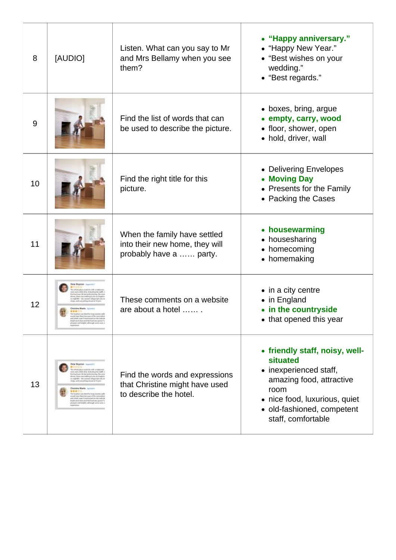| 8  | [AUDIO]                                                                                                                                                                                                                                                                                                                                                                                                                                                                                      | Listen. What can you say to Mr<br>and Mrs Bellamy when you see<br>them?                    | • "Happy anniversary."<br>• "Happy New Year."<br>• "Best wishes on your<br>wedding."<br>• "Best regards."                                                                                     |
|----|----------------------------------------------------------------------------------------------------------------------------------------------------------------------------------------------------------------------------------------------------------------------------------------------------------------------------------------------------------------------------------------------------------------------------------------------------------------------------------------------|--------------------------------------------------------------------------------------------|-----------------------------------------------------------------------------------------------------------------------------------------------------------------------------------------------|
| 9  |                                                                                                                                                                                                                                                                                                                                                                                                                                                                                              | Find the list of words that can<br>be used to describe the picture.                        | • boxes, bring, argue<br>• empty, carry, wood<br>• floor, shower, open<br>• hold, driver, wall                                                                                                |
| 10 |                                                                                                                                                                                                                                                                                                                                                                                                                                                                                              | Find the right title for this<br>picture.                                                  | • Delivering Envelopes<br>• Moving Day<br>• Presents for the Family<br>• Packing the Cases                                                                                                    |
| 11 |                                                                                                                                                                                                                                                                                                                                                                                                                                                                                              | When the family have settled<br>into their new home, they will<br>probably have a  party.  | • housewarming<br>• housesharing<br>• homecoming<br>• homemaking                                                                                                                              |
| 12 | phrasiate and bulghid, although some national                                                                                                                                                                                                                                                                                                                                                                                                                                                | These comments on a website<br>are about a hotel                                           | • in a city centre<br>• in England<br>• in the countryside<br>• that opened this year                                                                                                         |
| 13 | Peter Royaton Avenue 200<br>To shots processed do with a risk<br>in and a little dety. Industrial tanks to<br>he footwar.Of for putty boring. No son<br>from their use suffers to be as English<br>coupleditis - this instead will go that with be<br>ap, and comprising detaut at 10 perc<br>Chataline Marks Automo<br>he basicat and blooking to print and<br>and four-fixed because of the services<br>Indreand clean and the load was good. If a<br>or and belphil, although some news a | Find the words and expressions<br>that Christine might have used<br>to describe the hotel. | • friendly staff, noisy, well-<br>situated<br>• inexperienced staff,<br>amazing food, attractive<br>room<br>• nice food, luxurious, quiet<br>· old-fashioned, competent<br>staff, comfortable |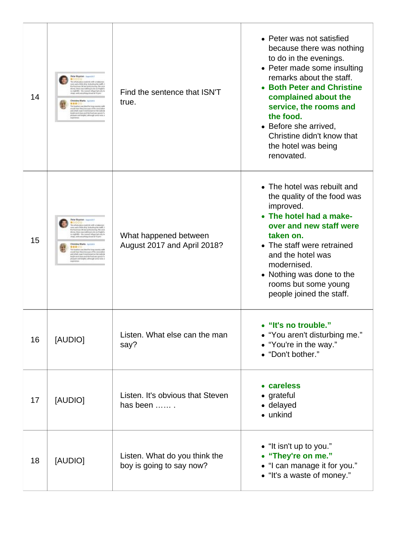| 14 | Peter Royaton Americans<br>a whole crecy could do with a rise<br>and a little drip (italialing the at<br>socious OK for porty boring, No<br>us, there was sufficialized out English<br>globbi- the reason whose rad units be<br>and comprehing abound at 10 year<br>Christine Marks Automn<br>(東東口<br>ald four filed Ancouse of the sen<br>ed artists mage it inventionant section series in<br>Indreand-dean and the food was good. If y<br>and beloful, atmosph | Find the sentence that ISN'T<br>true.                     | • Peter was not satisfied<br>because there was nothing<br>to do in the evenings.<br>• Peter made some insulting<br>remarks about the staff.<br>• Both Peter and Christine<br>complained about the<br>service, the rooms and<br>the food.<br>• Before she arrived,<br>Christine didn't know that<br>the hotel was being<br>renovated. |
|----|-------------------------------------------------------------------------------------------------------------------------------------------------------------------------------------------------------------------------------------------------------------------------------------------------------------------------------------------------------------------------------------------------------------------------------------------------------------------|-----------------------------------------------------------|--------------------------------------------------------------------------------------------------------------------------------------------------------------------------------------------------------------------------------------------------------------------------------------------------------------------------------------|
| 15 | <b>Peter Royator: Assess 200</b><br>08/08/0508140-400 61<br>and a link of the industry of the<br>e footwas OE for pietry boring. No wo<br>now, there was suffergrands as English<br>globbi- the reared willige had units to<br>and completes dough at 10 percent<br><b>Chataline Marks</b> Australia<br>ald four-filed, because of the ser<br>and arbait reason international residentials<br>International and the food was good, if a<br>und belah), annough an | What happened between<br>August 2017 and April 2018?      | • The hotel was rebuilt and<br>the quality of the food was<br>improved.<br>• The hotel had a make-<br>over and new staff were<br>taken on.<br>• The staff were retrained<br>and the hotel was<br>modernised.<br>• Nothing was done to the<br>rooms but some young<br>people joined the staff.                                        |
| 16 | [AUDIO]                                                                                                                                                                                                                                                                                                                                                                                                                                                           | Listen. What else can the man<br>say?                     | • "It's no trouble."<br>• "You aren't disturbing me."<br>• "You're in the way."<br>• "Don't bother."                                                                                                                                                                                                                                 |
| 17 | [AUDIO]                                                                                                                                                                                                                                                                                                                                                                                                                                                           | Listen. It's obvious that Steven<br>has been              | • careless<br>• grateful<br>• delayed<br>• unkind                                                                                                                                                                                                                                                                                    |
| 18 | [AUDIO]                                                                                                                                                                                                                                                                                                                                                                                                                                                           | Listen. What do you think the<br>boy is going to say now? | • "It isn't up to you."<br>• "They're on me."<br>• "I can manage it for you."<br>• "It's a waste of money."                                                                                                                                                                                                                          |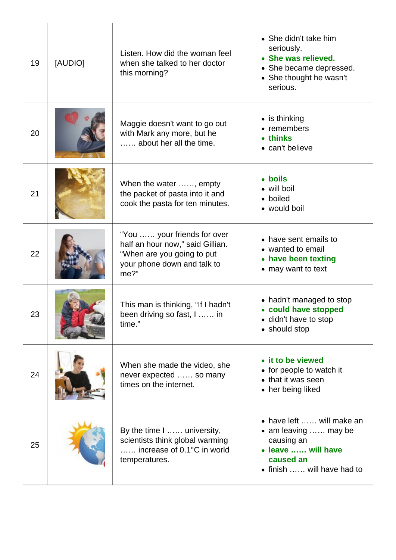| 19 | [AUDIO] | Listen. How did the woman feel<br>when she talked to her doctor<br>this morning?                                                        | • She didn't take him<br>seriously.<br>• She was relieved.<br>• She became depressed.<br>• She thought he wasn't<br>serious.     |
|----|---------|-----------------------------------------------------------------------------------------------------------------------------------------|----------------------------------------------------------------------------------------------------------------------------------|
| 20 |         | Maggie doesn't want to go out<br>with Mark any more, but he<br>about her all the time.                                                  | $\bullet$ is thinking<br>• remembers<br>• thinks<br>• can't believe                                                              |
| 21 |         | When the water , empty<br>the packet of pasta into it and<br>cook the pasta for ten minutes.                                            | • boils<br>• will boil<br>• boiled<br>• would boil                                                                               |
| 22 |         | "You  your friends for over<br>half an hour now," said Gillian.<br>"When are you going to put<br>your phone down and talk to<br>$me?$ " | • have sent emails to<br>• wanted to email<br>• have been texting<br>• may want to text                                          |
| 23 |         | This man is thinking, "If I hadn't<br>been driving so fast, I  in<br>time."                                                             | • hadn't managed to stop<br>• could have stopped<br>• didn't have to stop<br>• should stop                                       |
| 24 |         | When she made the video, she<br>never expected  so many<br>times on the internet.                                                       | • it to be viewed<br>• for people to watch it<br>• that it was seen<br>• her being liked                                         |
| 25 |         | By the time I  university,<br>scientists think global warming<br>increase of 0.1°C in world<br>temperatures.                            | • have left  will make an<br>• am leaving  may be<br>causing an<br>• leave  will have<br>caused an<br>• finish  will have had to |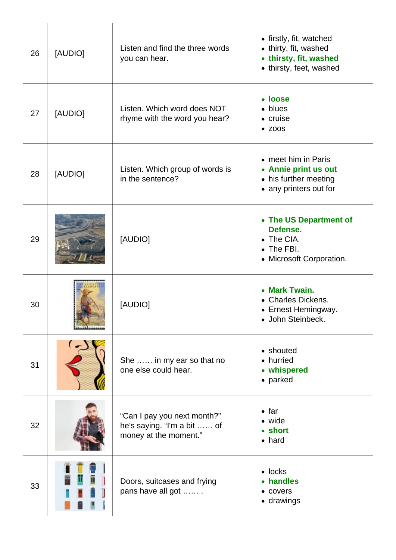| 26 | [AUDIO] | Listen and find the three words<br>you can hear.                                    | • firstly, fit, watched<br>• thirty, fit, washed<br>• thirsty, fit, washed<br>• thirsty, feet, washed |
|----|---------|-------------------------------------------------------------------------------------|-------------------------------------------------------------------------------------------------------|
| 27 | [AUDIO] | Listen. Which word does NOT<br>rhyme with the word you hear?                        | • loose<br>• blues<br>• cruise<br>$\bullet$ ZOOS                                                      |
| 28 | [AUDIO] | Listen. Which group of words is<br>in the sentence?                                 | • meet him in Paris<br>• Annie print us out<br>• his further meeting<br>• any printers out for        |
| 29 |         | [AUDIO]                                                                             | • The US Department of<br>Defense.<br>• The CIA.<br>• The FBI.<br>• Microsoft Corporation.            |
| 30 |         | [AUDIO]                                                                             | • Mark Twain.<br>• Charles Dickens.<br>• Ernest Hemingway.<br>• John Steinbeck.                       |
| 31 |         | She  in my ear so that no<br>one else could hear.                                   | • shouted<br>• hurried<br>• whispered<br>• parked                                                     |
| 32 |         | "Can I pay you next month?"<br>he's saying. "I'm a bit  of<br>money at the moment." | $\bullet$ far<br>• wide<br>• short<br>$\bullet$ hard                                                  |
| 33 |         | Doors, suitcases and frying<br>pans have all got                                    | $\bullet$ locks<br>• handles<br>• covers<br>• drawings                                                |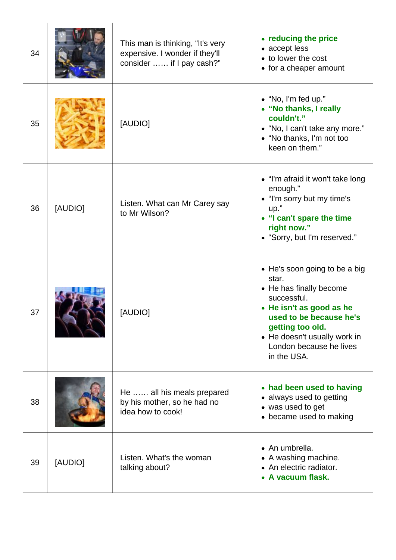| 34 |         | This man is thinking, "It's very<br>expensive. I wonder if they'll<br>consider  if I pay cash?" | • reducing the price<br>• accept less<br>• to lower the cost<br>• for a cheaper amount                                                                                                                                                |
|----|---------|-------------------------------------------------------------------------------------------------|---------------------------------------------------------------------------------------------------------------------------------------------------------------------------------------------------------------------------------------|
| 35 |         | [AUDIO]                                                                                         | $\bullet$ "No, I'm fed up."<br>• "No thanks, I really<br>couldn't."<br>• "No, I can't take any more."<br>• "No thanks, I'm not too<br>keen on them."                                                                                  |
| 36 | [AUDIO] | Listen. What can Mr Carey say<br>to Mr Wilson?                                                  | • "I'm afraid it won't take long<br>enough."<br>• "I'm sorry but my time's<br>up."<br>• "I can't spare the time<br>right now."<br>• "Sorry, but I'm reserved."                                                                        |
| 37 |         | [AUDIO]                                                                                         | • He's soon going to be a big<br>star.<br>• He has finally become<br>successful.<br>• He isn't as good as he<br>used to be because he's<br>getting too old.<br>• He doesn't usually work in<br>London because he lives<br>in the USA. |
| 38 |         | He  all his meals prepared<br>by his mother, so he had no<br>idea how to cook!                  | • had been used to having<br>• always used to getting<br>• was used to get<br>• became used to making                                                                                                                                 |
| 39 | [AUDIO] | Listen. What's the woman<br>talking about?                                                      | • An umbrella.<br>• A washing machine.<br>• An electric radiator.<br>• A vacuum flask.                                                                                                                                                |